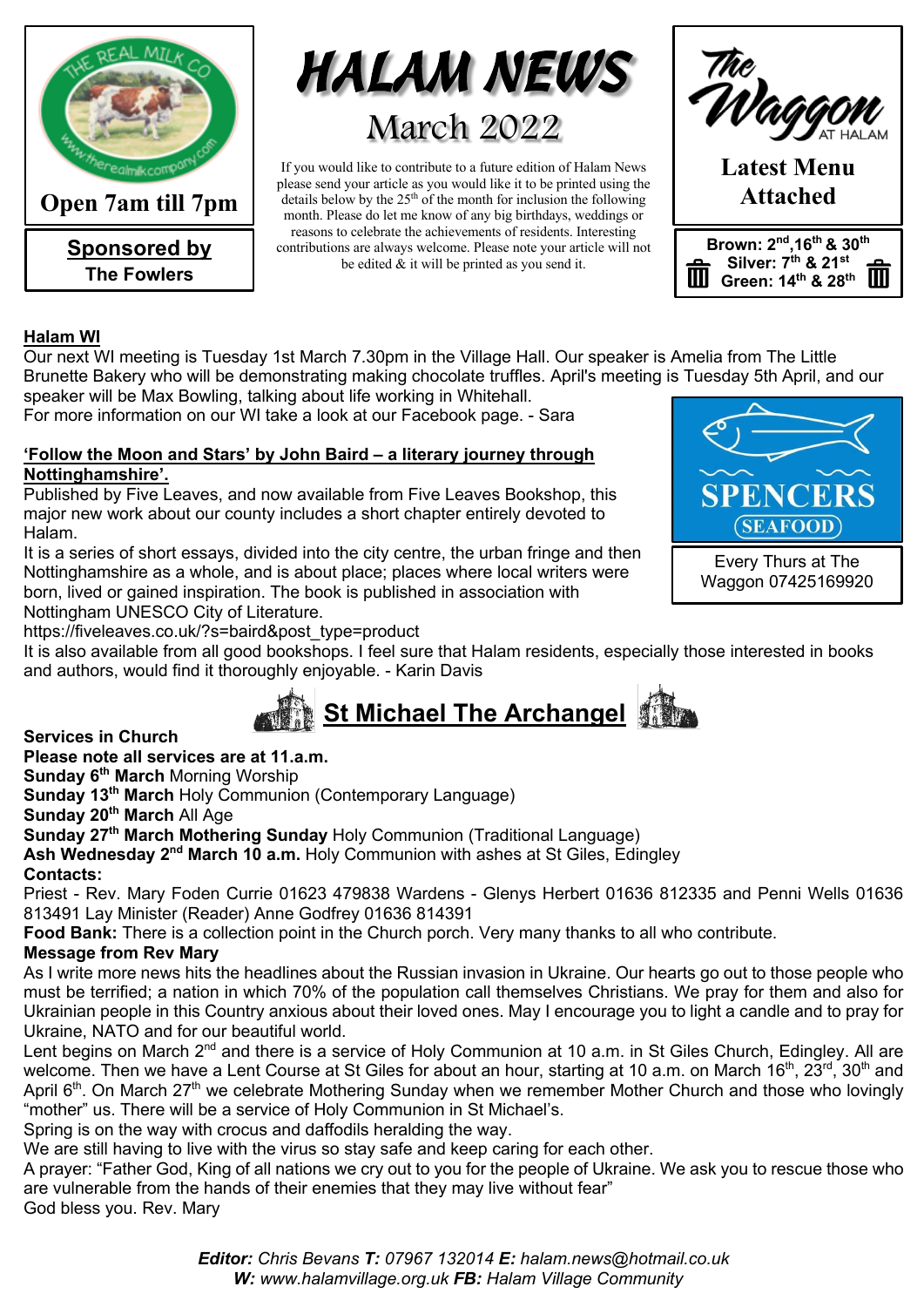

**Open 7am till 7pm**

**Sponsored by The Fowlers**



If you would like to contribute to a future edition of Halam News please send your article as you would like it to be printed using the details below by the  $25<sup>th</sup>$  of the month for inclusion the following month. Please do let me know of any big birthdays, weddings or reasons to celebrate the achievements of residents. Interesting contributions are always welcome. Please note your article will not be edited & it will be printed as you send it.



# **Halam WI**

Our next WI meeting is Tuesday 1st March 7.30pm in the Village Hall. Our speaker is Amelia from The Little Brunette Bakery who will be demonstrating making chocolate truffles. April's meeting is Tuesday 5th April, and our speaker will be Max Bowling, talking about life working in Whitehall.

For more information on our WI take a look at our Facebook page. - Sara

#### **'Follow the Moon and Stars' by John Baird – a literary journey through Nottinghamshire'.**

Published by Five Leaves, and now available from Five Leaves Bookshop, this major new work about our county includes a short chapter entirely devoted to Halam.

It is a series of short essays, divided into the city centre, the urban fringe and then Nottinghamshire as a whole, and is about place; places where local writers were born, lived or gained inspiration. The book is published in association with

Nottingham UNESCO City of Literature.

https://fiveleaves.co.uk/?s=baird&post\_type=product

It is also available from all good bookshops. I feel sure that Halam residents, especially those interested in books and authors, would find it thoroughly enjoyable. - Karin Davis



**Services in Church**

**Please note all services are at 11.a.m.** 

**Sunday 6th March** Morning Worship

**Sunday 13th March** Holy Communion (Contemporary Language)

**Sunday 20th March** All Age

**Sunday 27th March Mothering Sunday** Holy Communion (Traditional Language)

Ash Wednesday 2<sup>nd</sup> March 10 a.m. Holy Communion with ashes at St Giles, Edingley

**Contacts:**

Priest - Rev. Mary Foden Currie 01623 479838 Wardens - Glenys Herbert 01636 812335 and Penni Wells 01636 813491 Lay Minister (Reader) Anne Godfrey 01636 814391

**Food Bank:** There is a collection point in the Church porch. Very many thanks to all who contribute.

### **Message from Rev Mary**

As I write more news hits the headlines about the Russian invasion in Ukraine. Our hearts go out to those people who must be terrified; a nation in which 70% of the population call themselves Christians. We pray for them and also for Ukrainian people in this Country anxious about their loved ones. May I encourage you to light a candle and to pray for Ukraine, NATO and for our beautiful world.

Lent begins on March 2<sup>nd</sup> and there is a service of Holy Communion at 10 a.m. in St Giles Church, Edingley. All are welcome. Then we have a Lent Course at St Giles for about an hour, starting at 10 a.m. on March 16<sup>th</sup>, 23<sup>rd</sup>, 30<sup>th</sup> and April 6<sup>th</sup>. On March 27<sup>th</sup> we celebrate Mothering Sunday when we remember Mother Church and those who lovingly "mother" us. There will be a service of Holy Communion in St Michael's.

Spring is on the way with crocus and daffodils heralding the way.

We are still having to live with the virus so stay safe and keep caring for each other.

A prayer: "Father God, King of all nations we cry out to you for the people of Ukraine. We ask you to rescue those who are vulnerable from the hands of their enemies that they may live without fear"

God bless you. Rev. Mary

*Editor: Chris Bevans T: 07967 132014 E: halam.news@hotmail.co.uk W: www.halamvillage.org.uk FB: Halam Village Community*



Waggon 07425169920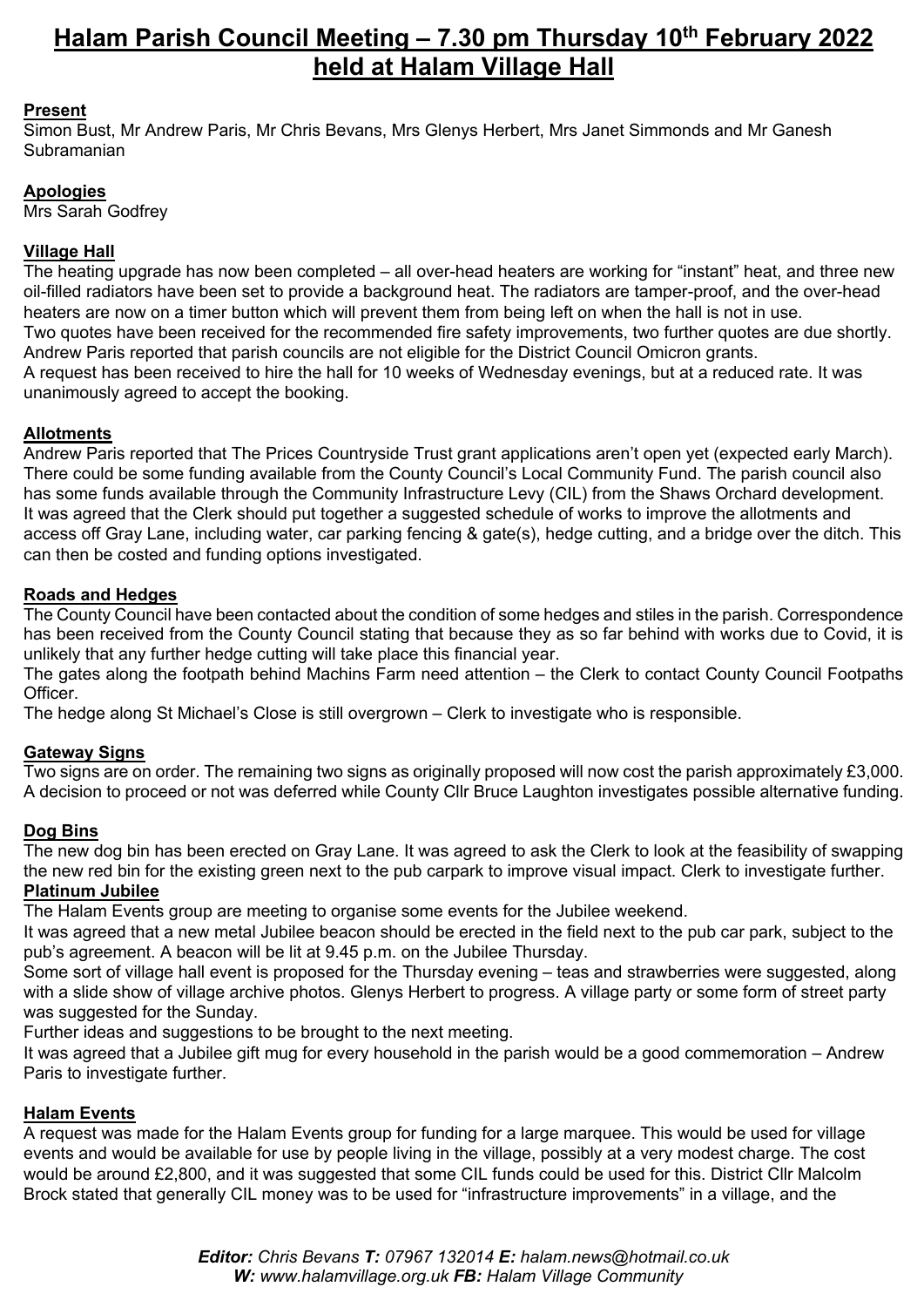# **Halam Parish Council Meeting – 7.30 pm Thursday 10th February 2022 held at Halam Village Hall**

### **Present**

Simon Bust, Mr Andrew Paris, Mr Chris Bevans, Mrs Glenys Herbert, Mrs Janet Simmonds and Mr Ganesh Subramanian

### **Apologies**

Mrs Sarah Godfrey

### **Village Hall**

The heating upgrade has now been completed – all over-head heaters are working for "instant" heat, and three new oil-filled radiators have been set to provide a background heat. The radiators are tamper-proof, and the over-head heaters are now on a timer button which will prevent them from being left on when the hall is not in use. Two quotes have been received for the recommended fire safety improvements, two further quotes are due shortly. Andrew Paris reported that parish councils are not eligible for the District Council Omicron grants. A request has been received to hire the hall for 10 weeks of Wednesday evenings, but at a reduced rate. It was unanimously agreed to accept the booking.

#### **Allotments**

Andrew Paris reported that The Prices Countryside Trust grant applications aren't open yet (expected early March). There could be some funding available from the County Council's Local Community Fund. The parish council also has some funds available through the Community Infrastructure Levy (CIL) from the Shaws Orchard development. It was agreed that the Clerk should put together a suggested schedule of works to improve the allotments and access off Gray Lane, including water, car parking fencing & gate(s), hedge cutting, and a bridge over the ditch. This can then be costed and funding options investigated.

#### **Roads and Hedges**

The County Council have been contacted about the condition of some hedges and stiles in the parish. Correspondence has been received from the County Council stating that because they as so far behind with works due to Covid, it is unlikely that any further hedge cutting will take place this financial year.

The gates along the footpath behind Machins Farm need attention – the Clerk to contact County Council Footpaths **Officer** 

The hedge along St Michael's Close is still overgrown – Clerk to investigate who is responsible.

### **Gateway Signs**

Two signs are on order. The remaining two signs as originally proposed will now cost the parish approximately £3,000. A decision to proceed or not was deferred while County Cllr Bruce Laughton investigates possible alternative funding.

#### **Dog Bins**

The new dog bin has been erected on Gray Lane. It was agreed to ask the Clerk to look at the feasibility of swapping the new red bin for the existing green next to the pub carpark to improve visual impact. Clerk to investigate further. **Platinum Jubilee**

The Halam Events group are meeting to organise some events for the Jubilee weekend.

It was agreed that a new metal Jubilee beacon should be erected in the field next to the pub car park, subject to the pub's agreement. A beacon will be lit at 9.45 p.m. on the Jubilee Thursday.

Some sort of village hall event is proposed for the Thursday evening – teas and strawberries were suggested, along with a slide show of village archive photos. Glenys Herbert to progress. A village party or some form of street party was suggested for the Sunday.

Further ideas and suggestions to be brought to the next meeting.

It was agreed that a Jubilee gift mug for every household in the parish would be a good commemoration – Andrew Paris to investigate further.

### **Halam Events**

A request was made for the Halam Events group for funding for a large marquee. This would be used for village events and would be available for use by people living in the village, possibly at a very modest charge. The cost would be around £2,800, and it was suggested that some CIL funds could be used for this. District Cllr Malcolm Brock stated that generally CIL money was to be used for "infrastructure improvements" in a village, and the

> *Editor: Chris Bevans T: 07967 132014 E: halam.news@hotmail.co.uk W: www.halamvillage.org.uk FB: Halam Village Community*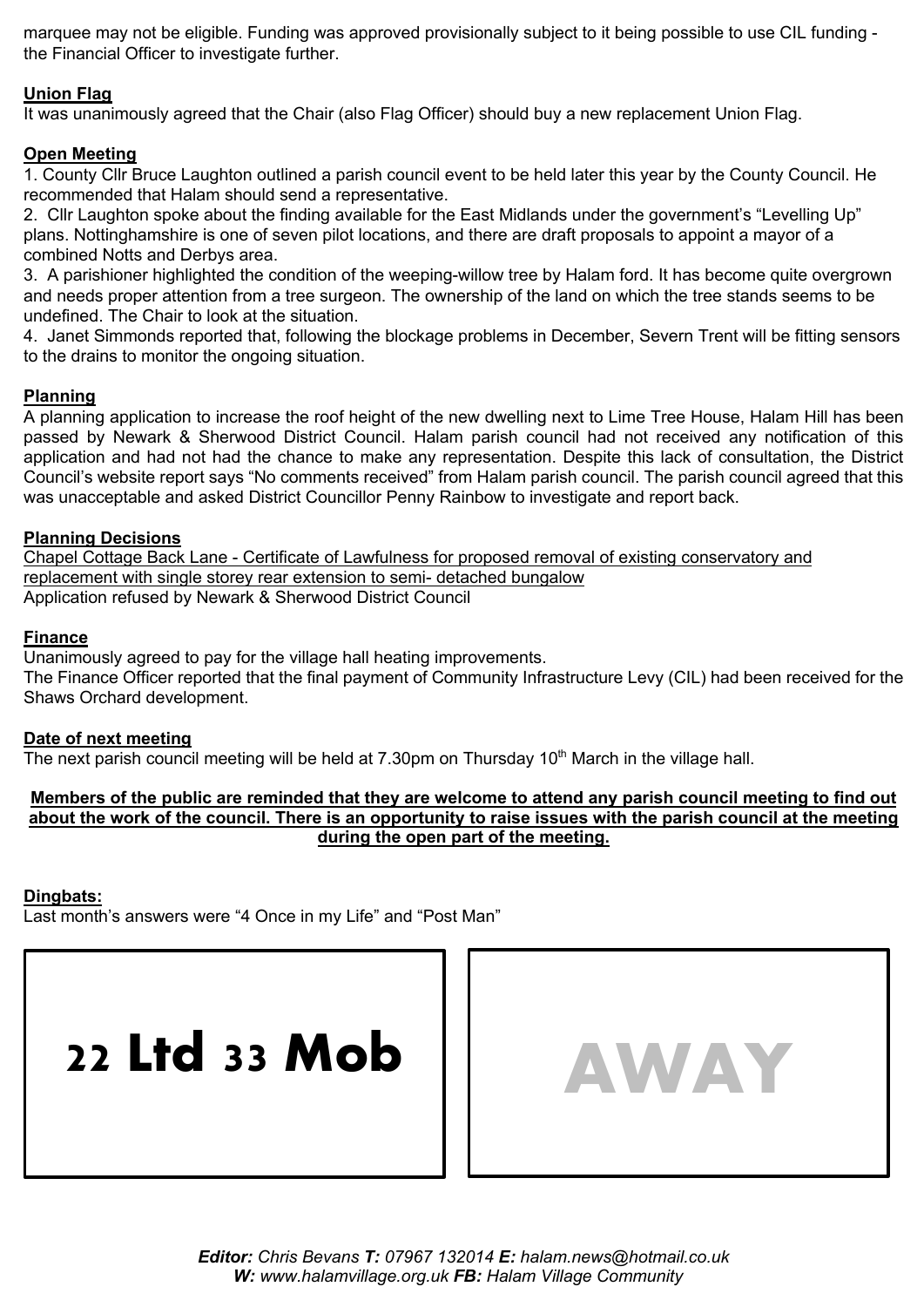marquee may not be eligible. Funding was approved provisionally subject to it being possible to use CIL funding the Financial Officer to investigate further.

#### **Union Flag**

It was unanimously agreed that the Chair (also Flag Officer) should buy a new replacement Union Flag.

#### **Open Meeting**

1. County Cllr Bruce Laughton outlined a parish council event to be held later this year by the County Council. He recommended that Halam should send a representative.

2. Cllr Laughton spoke about the finding available for the East Midlands under the government's "Levelling Up" plans. Nottinghamshire is one of seven pilot locations, and there are draft proposals to appoint a mayor of a combined Notts and Derbys area.

3. A parishioner highlighted the condition of the weeping-willow tree by Halam ford. It has become quite overgrown and needs proper attention from a tree surgeon. The ownership of the land on which the tree stands seems to be undefined. The Chair to look at the situation.

4. Janet Simmonds reported that, following the blockage problems in December, Severn Trent will be fitting sensors to the drains to monitor the ongoing situation.

#### **Planning**

A planning application to increase the roof height of the new dwelling next to Lime Tree House, Halam Hill has been passed by Newark & Sherwood District Council. Halam parish council had not received any notification of this application and had not had the chance to make any representation. Despite this lack of consultation, the District Council's website report says "No comments received" from Halam parish council. The parish council agreed that this was unacceptable and asked District Councillor Penny Rainbow to investigate and report back.

#### **Planning Decisions**

Chapel Cottage Back Lane - Certificate of Lawfulness for proposed removal of existing conservatory and replacement with single storey rear extension to semi- detached bungalow Application refused by Newark & Sherwood District Council

#### **Finance**

Unanimously agreed to pay for the village hall heating improvements. The Finance Officer reported that the final payment of Community Infrastructure Levy (CIL) had been received for the Shaws Orchard development.

#### **Date of next meeting**

The next parish council meeting will be held at 7.30pm on Thursday  $10<sup>th</sup>$  March in the village hall.

#### **Members of the public are reminded that they are welcome to attend any parish council meeting to find out about the work of the council. There is an opportunity to raise issues with the parish council at the meeting during the open part of the meeting.**

#### **Dingbats:**

Last month's answers were "4 Once in my Life" and "Post Man"



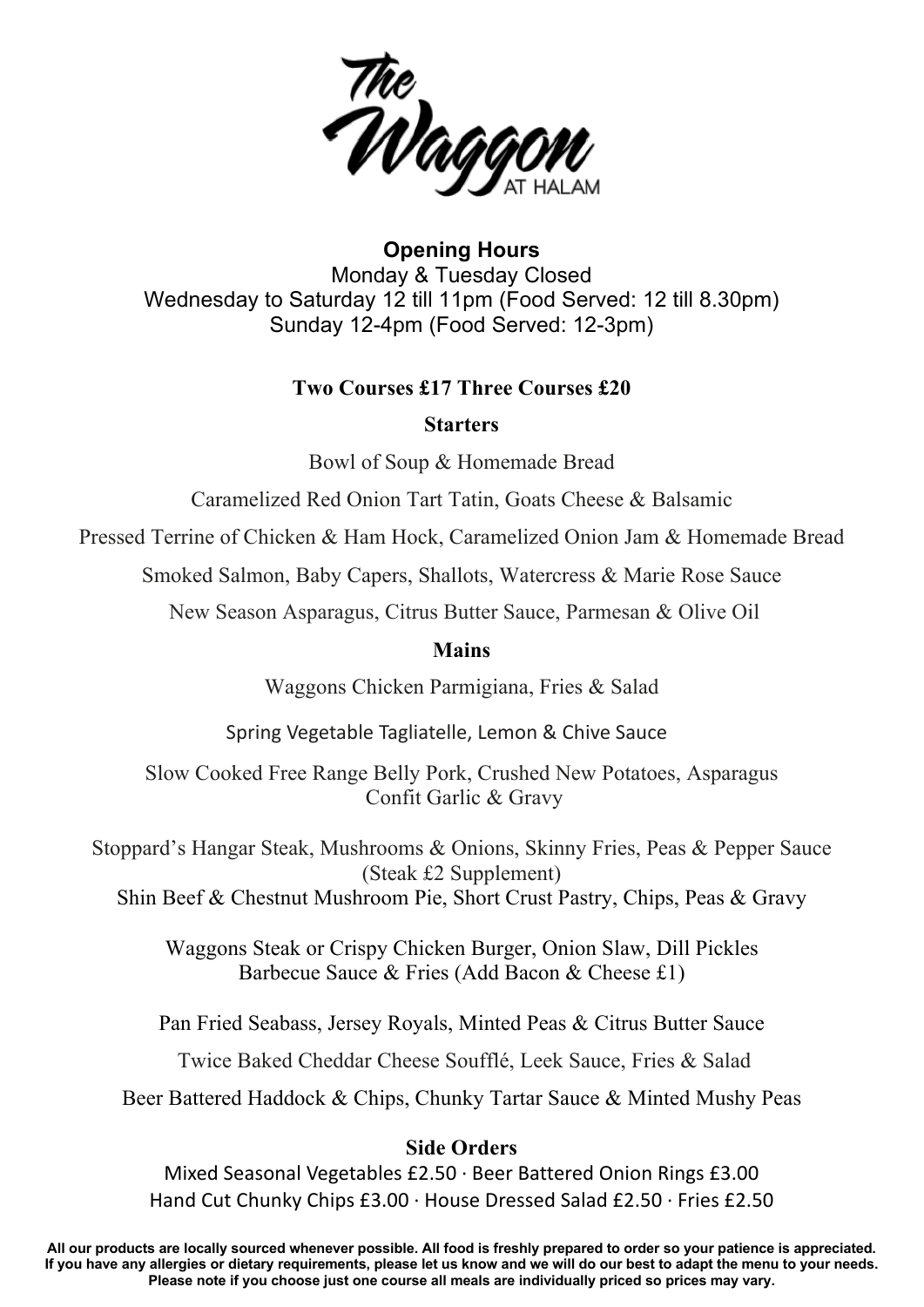

**Opening Hours** Monday & Tuesday Closed Wednesday to Saturday 12 till 11pm (Food Served: 12 till 8.30pm) Sunday 12-4pm (Food Served: 12-3pm)

## **Two Courses £17 Three Courses £20**

### **Starters**

Bowl of Soup & Homemade Bread

Caramelized Red Onion Tart Tatin, Goats Cheese & Balsamic

Pressed Terrine of Chicken & Ham Hock, Caramelized Onion Jam & Homemade Bread

Smoked Salmon, Baby Capers, Shallots, Watercress & Marie Rose Sauce

New Season Asparagus, Citrus Butter Sauce, Parmesan & Olive Oil

### **Mains**

Waggons Chicken Parmigiana, Fries & Salad

Spring Vegetable Tagliatelle, Lemon & Chive Sauce

Slow Cooked Free Range Belly Pork, Crushed New Potatoes, Asparagus Confit Garlic & Gravy

Stoppard's Hangar Steak, Mushrooms & Onions, Skinny Fries, Peas & Pepper Sauce (Steak £2 Supplement) Shin Beef & Chestnut Mushroom Pie, Short Crust Pastry, Chips, Peas & Gravy

Waggons Steak or Crispy Chicken Burger, Onion Slaw, Dill Pickles Barbecue Sauce & Fries (Add Bacon & Cheese £1)

Pan Fried Seabass, Jersey Royals, Minted Peas & Citrus Butter Sauce

Twice Baked Cheddar Cheese Soufflé, Leek Sauce, Fries & Salad

Beer Battered Haddock & Chips, Chunky Tartar Sauce & Minted Mushy Peas

### **Side Orders**

Mixed Seasonal Vegetables £2.50 · Beer Battered Onion Rings £3.00 Hand Cut Chunky Chips £3.00 · House Dressed Salad £2.50 · Fries £2.50